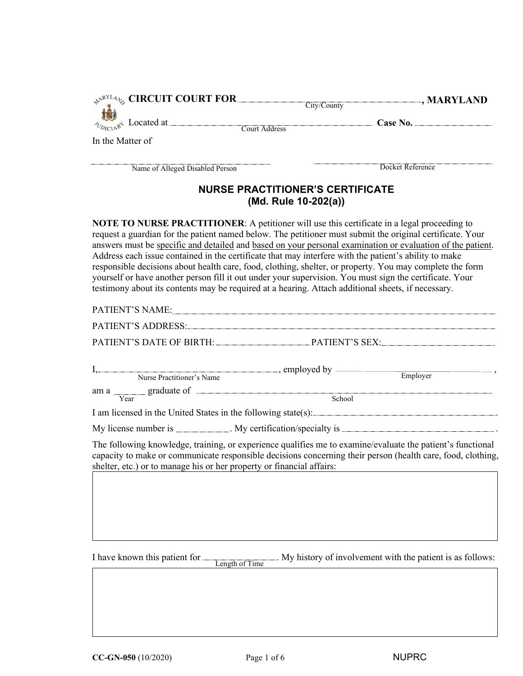| $\mathcal{P}^{\text{RYL}_{4}}$ CIRCUIT COURT FOR                                                   | City/County                                                     | -, MARYLAND                                                                                                                                                                                                                                                                                                                                                                                                                                                                                                                                                                                                                                                   |
|----------------------------------------------------------------------------------------------------|-----------------------------------------------------------------|---------------------------------------------------------------------------------------------------------------------------------------------------------------------------------------------------------------------------------------------------------------------------------------------------------------------------------------------------------------------------------------------------------------------------------------------------------------------------------------------------------------------------------------------------------------------------------------------------------------------------------------------------------------|
| $\sum_{x \in A} x^4$ Located at.                                                                   | Court Address                                                   | Case No.                                                                                                                                                                                                                                                                                                                                                                                                                                                                                                                                                                                                                                                      |
| In the Matter of                                                                                   |                                                                 |                                                                                                                                                                                                                                                                                                                                                                                                                                                                                                                                                                                                                                                               |
| Name of Alleged Disabled Person                                                                    |                                                                 | Docket Reference                                                                                                                                                                                                                                                                                                                                                                                                                                                                                                                                                                                                                                              |
|                                                                                                    | <b>NURSE PRACTITIONER'S CERTIFICATE</b><br>(Md. Rule 10-202(a)) |                                                                                                                                                                                                                                                                                                                                                                                                                                                                                                                                                                                                                                                               |
| testimony about its contents may be required at a hearing. Attach additional sheets, if necessary. |                                                                 | <b>NOTE TO NURSE PRACTITIONER:</b> A petitioner will use this certificate in a legal proceeding to<br>request a guardian for the patient named below. The petitioner must submit the original certificate. Your<br>answers must be specific and detailed and based on your personal examination or evaluation of the patient.<br>Address each issue contained in the certificate that may interfere with the patient's ability to make<br>responsible decisions about health care, food, clothing, shelter, or property. You may complete the form<br>yourself or have another person fill it out under your supervision. You must sign the certificate. Your |

|                                                                       | PATIENT'S DATE OF BIRTH: PATIENT'S SEX:                                                                                                                                                                                   |
|-----------------------------------------------------------------------|---------------------------------------------------------------------------------------------------------------------------------------------------------------------------------------------------------------------------|
|                                                                       |                                                                                                                                                                                                                           |
|                                                                       | $\frac{1}{\text{Area}}$ graduate of $\frac{1}{\text{Area}}$                                                                                                                                                               |
|                                                                       |                                                                                                                                                                                                                           |
|                                                                       | My license number is ___________. My certification/specialty is ____________________________.                                                                                                                             |
| shelter, etc.) or to manage his or her property or financial affairs: | The following knowledge, training, or experience qualifies me to examine/evaluate the patient's functional<br>capacity to make or communicate responsible decisions concerning their person (health care, food, clothing, |
|                                                                       |                                                                                                                                                                                                                           |
|                                                                       |                                                                                                                                                                                                                           |
|                                                                       |                                                                                                                                                                                                                           |
|                                                                       |                                                                                                                                                                                                                           |

I have known this patient is as follows: I have known this patient for <u>Length of Time</u>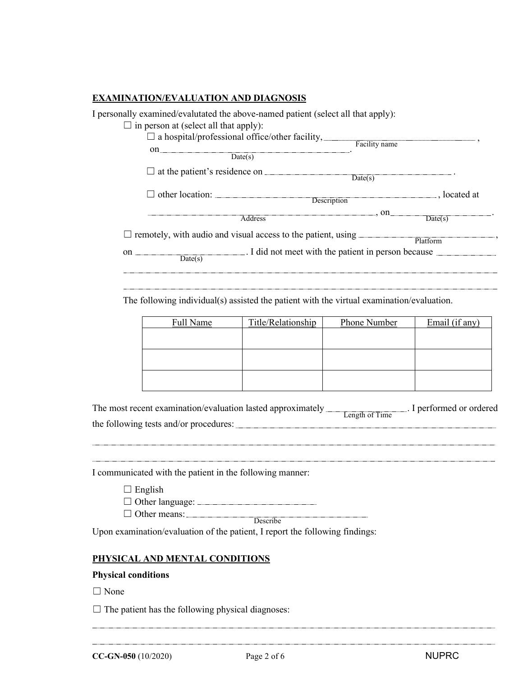### **EXAMINATION/EVALUATION AND DIAGNOSIS**

I personally examined/evalutated the above-named patient (select all that apply):

#### $\Box$  in person at (select all that apply):

| $\square$ a hospital/professional office/other facility,<br>on<br>Date(s)                                                                                                                                                      | Facility name |              |
|--------------------------------------------------------------------------------------------------------------------------------------------------------------------------------------------------------------------------------|---------------|--------------|
| $\Box$ at the patient's residence on $\Box$                                                                                                                                                                                    |               |              |
| $\Box$ other location: Description                                                                                                                                                                                             |               | . located at |
| Address Andreas Address Address and Address Address and Address and Address Address and Address and Address and Address and Address and Address and Address and Address and Address and Address and Address and Address and Ad | . on          | Date(s)      |
| $\Box$ remotely, with audio and visual access to the patient, using                                                                                                                                                            |               | Platform     |
| I did not meet with the patient in person because<br>on<br>Date(s)                                                                                                                                                             |               |              |

The following individual(s) assisted the patient with the virtual examination/evaluation.

| Full Name | Title/Relationship | Phone Number | Email (if any) |
|-----------|--------------------|--------------|----------------|
|           |                    |              |                |
|           |                    |              |                |
|           |                    |              |                |
|           |                    |              |                |
|           |                    |              |                |
|           |                    |              |                |

| The most recent examination/evaluation lasted approximately |                | I performed or ordered |
|-------------------------------------------------------------|----------------|------------------------|
|                                                             | Length of Time |                        |
| the following tests and/or procedures:                      |                |                        |

I communicated with the patient in the following manner:

 $\Box$  English

☐ Other language:

□ Other means: **Describe** 

Upon examination/evaluation of the patient, I report the following findings:

### **PHYSICAL AND MENTAL CONDITIONS**

#### **Physical conditions**

□ None

 $\Box$  The patient has the following physical diagnoses:

**CC-GN-050** (10/2020) Page 2 of 6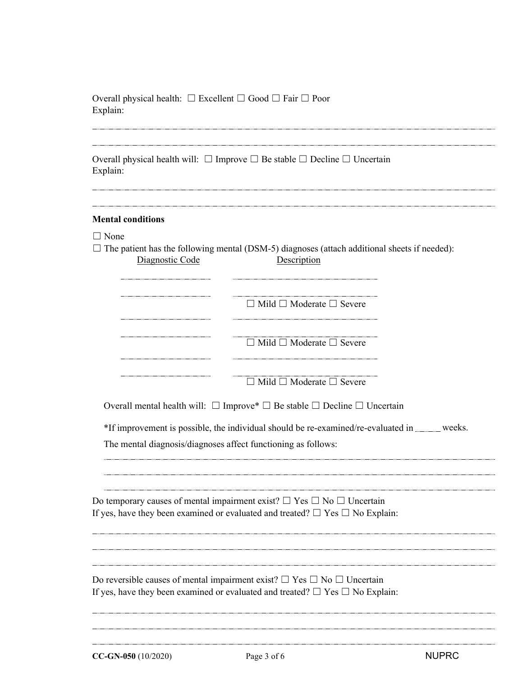| Overall physical health: $\Box$ Excellent $\Box$ Good $\Box$ Fair $\Box$ Poor<br>Explain:                 |                                                                                                                                                                                   |              |
|-----------------------------------------------------------------------------------------------------------|-----------------------------------------------------------------------------------------------------------------------------------------------------------------------------------|--------------|
| Overall physical health will: $\Box$ Improve $\Box$ Be stable $\Box$ Decline $\Box$ Uncertain<br>Explain: |                                                                                                                                                                                   |              |
| <b>Mental conditions</b>                                                                                  |                                                                                                                                                                                   |              |
| $\Box$ None                                                                                               | $\Box$ The patient has the following mental (DSM-5) diagnoses (attach additional sheets if needed):                                                                               |              |
| Diagnostic Code                                                                                           | Description                                                                                                                                                                       |              |
|                                                                                                           | $\Box$ Mild $\Box$ Moderate $\Box$ Severe                                                                                                                                         |              |
|                                                                                                           | $\Box$ Mild $\Box$ Moderate $\Box$ Severe                                                                                                                                         |              |
|                                                                                                           | $\Box$ Mild $\Box$ Moderate $\Box$ Severe                                                                                                                                         |              |
|                                                                                                           | Overall mental health will: $\Box$ Improve* $\Box$ Be stable $\Box$ Decline $\Box$ Uncertain                                                                                      |              |
|                                                                                                           | *If improvement is possible, the individual should be re-examined/re-evaluated in _____ weeks.                                                                                    |              |
|                                                                                                           | The mental diagnosis/diagnoses affect functioning as follows:                                                                                                                     |              |
|                                                                                                           |                                                                                                                                                                                   |              |
|                                                                                                           | Do temporary causes of mental impairment exist? $\Box$ Yes $\Box$ No $\Box$ Uncertain<br>If yes, have they been examined or evaluated and treated? $\Box$ Yes $\Box$ No Explain:  |              |
|                                                                                                           | Do reversible causes of mental impairment exist? $\Box$ Yes $\Box$ No $\Box$ Uncertain<br>If yes, have they been examined or evaluated and treated? $\Box$ Yes $\Box$ No Explain: |              |
| CC-GN-050 (10/2020)                                                                                       | Page 3 of 6                                                                                                                                                                       | <b>NUPRC</b> |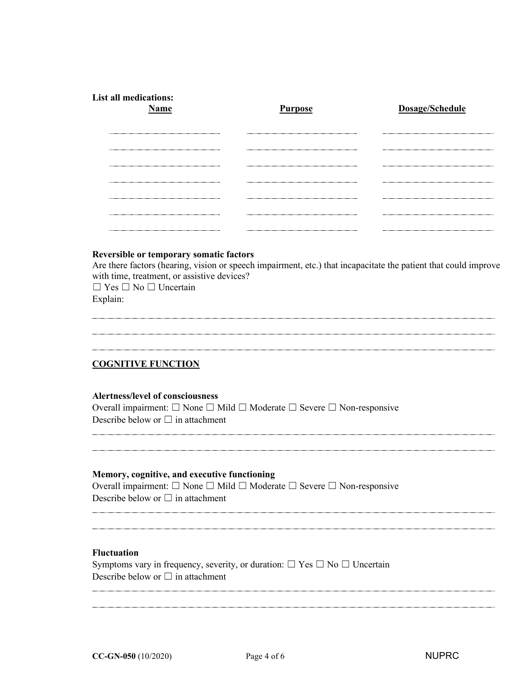| <b>List all medications:</b><br><b>Name</b> | <b>Purpose</b> | Dosage/Schedule |
|---------------------------------------------|----------------|-----------------|
|                                             |                |                 |
|                                             |                |                 |
|                                             |                |                 |
|                                             |                |                 |
|                                             |                |                 |
|                                             |                |                 |

# **Reversible or temporary somatic factors**

Are there factors (hearing, vision or speech impairment, etc.) that incapacitate the patient that could improve with time, treatment, or assistive devices?

☐ Yes ☐ No ☐ Uncertain Explain:

# **COGNITIVE FUNCTION**

#### **Alertness/level of consciousness**

Overall impairment: ☐ None ☐ Mild ☐ Moderate ☐ Severe ☐ Non-responsive Describe below or  $\Box$  in attachment

### **Memory, cognitive, and executive functioning**

Overall impairment: ☐ None ☐ Mild ☐ Moderate ☐ Severe ☐ Non-responsive Describe below or  $\Box$  in attachment

#### **Fluctuation**

Symptoms vary in frequency, severity, or duration:  $\Box$  Yes  $\Box$  No  $\Box$  Uncertain Describe below or  $\Box$  in attachment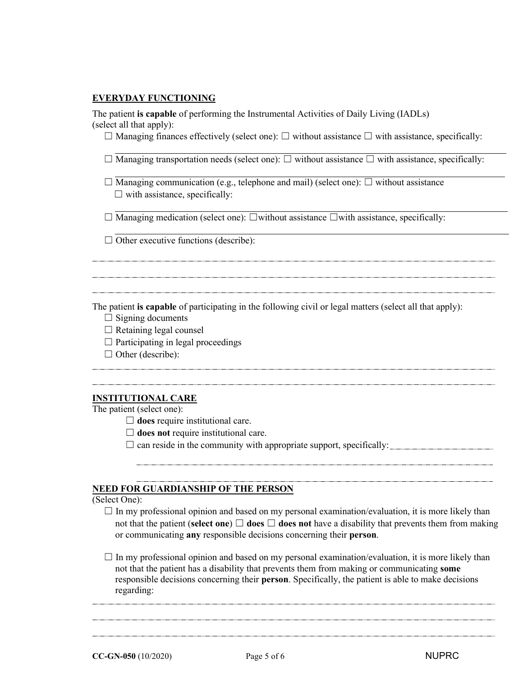#### **EVERYDAY FUNCTIONING**

The patient **is capable** of performing the Instrumental Activities of Daily Living (IADLs) (select all that apply):

☐ Managing finances effectively (select one): ☐ without assistance ☐ with assistance, specifically:

☐ Managing transportation needs (select one): ☐ without assistance ☐ with assistance, specifically:

 $\Box$  Managing communication (e.g., telephone and mail) (select one):  $\Box$  without assistance  $\Box$  with assistance, specifically:

☐ Managing medication (select one): ☐without assistance ☐with assistance, specifically:

 $\Box$  Other executive functions (describe):

The patient **is capable** of participating in the following civil or legal matters (select all that apply):

- $\Box$  Signing documents
- $\Box$  Retaining legal counsel
- $\Box$  Participating in legal proceedings
- $\Box$  Other (describe):

# **INSTITUTIONAL CARE**

The patient (select one):

□ **does** require institutional care.

☐ **does not** require institutional care.

 $\Box$  can reside in the community with appropriate support, specifically:

#### **NEED FOR GUARDIANSHIP OF THE PERSON**

# (Select One):

 $\Box$  In my professional opinion and based on my personal examination/evaluation, it is more likely than not that the patient (**select one**)  $\Box$  **does**  $\Box$  **does not** have a disability that prevents them from making or communicating **any** responsible decisions concerning their **person**.

 $\Box$  In my professional opinion and based on my personal examination/evaluation, it is more likely than not that the patient has a disability that prevents them from making or communicating **some** responsible decisions concerning their **person**. Specifically, the patient is able to make decisions regarding: